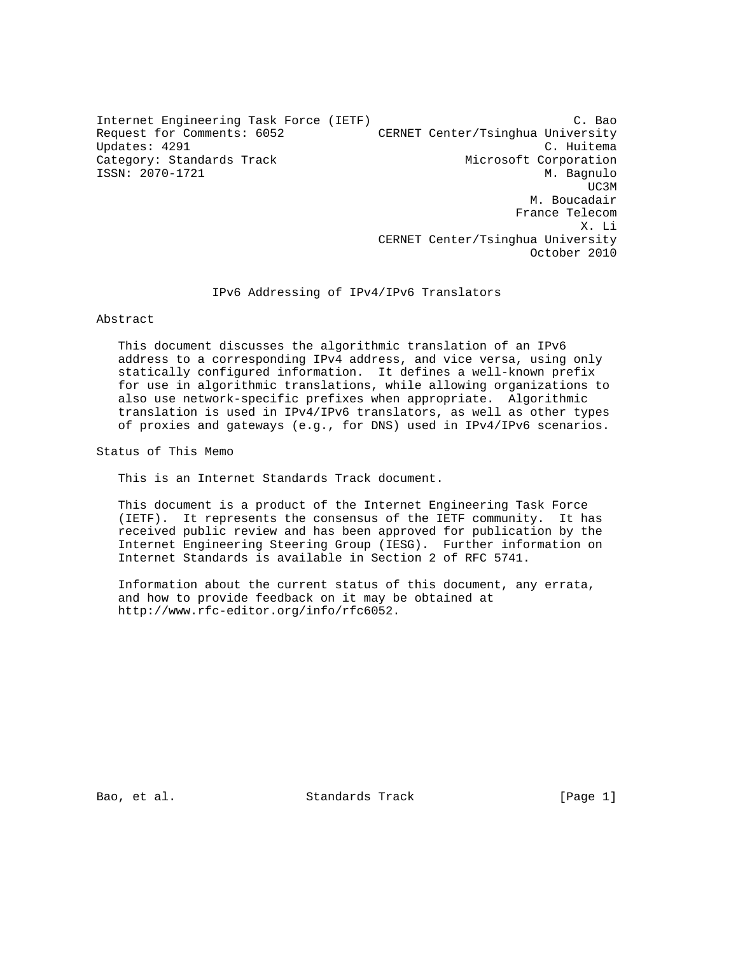Internet Engineering Task Force (IETF) C. Bao Request for Comments: 6052 CERNET Center/Tsinghua University Updates: 4291 C. Huitema Category: Standards Track Microsoft Corporation ISSN: 2070-1721 M. Bagnulo UC3M and the contract of the contract of the contract of the contract of the contract of the contract of the contract of the contract of the contract of the contract of the contract of the contract of the contract of the c M. Boucadair France Telecom<br>X. Li X. Li CERNET Center/Tsinghua University

#### IPv6 Addressing of IPv4/IPv6 Translators

Abstract

 This document discusses the algorithmic translation of an IPv6 address to a corresponding IPv4 address, and vice versa, using only statically configured information. It defines a well-known prefix for use in algorithmic translations, while allowing organizations to also use network-specific prefixes when appropriate. Algorithmic translation is used in IPv4/IPv6 translators, as well as other types of proxies and gateways (e.g., for DNS) used in IPv4/IPv6 scenarios.

Status of This Memo

This is an Internet Standards Track document.

 This document is a product of the Internet Engineering Task Force (IETF). It represents the consensus of the IETF community. It has received public review and has been approved for publication by the Internet Engineering Steering Group (IESG). Further information on Internet Standards is available in Section 2 of RFC 5741.

 Information about the current status of this document, any errata, and how to provide feedback on it may be obtained at http://www.rfc-editor.org/info/rfc6052.

Bao, et al. Standards Track [Page 1]

October 2010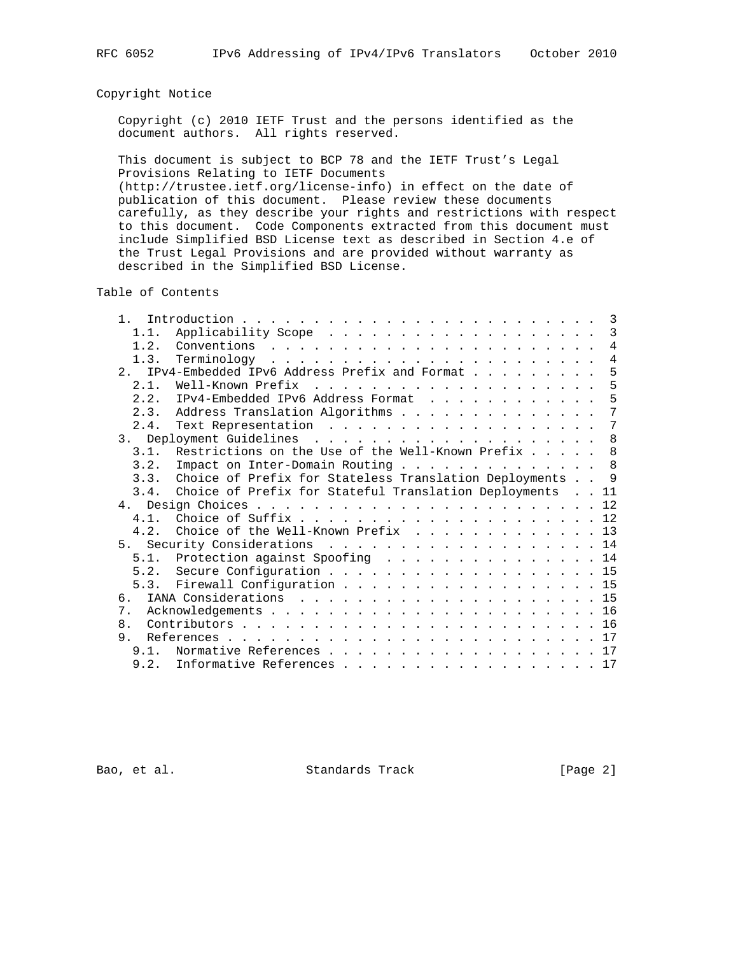# Copyright Notice

 Copyright (c) 2010 IETF Trust and the persons identified as the document authors. All rights reserved.

 This document is subject to BCP 78 and the IETF Trust's Legal Provisions Relating to IETF Documents

 (http://trustee.ietf.org/license-info) in effect on the date of publication of this document. Please review these documents carefully, as they describe your rights and restrictions with respect to this document. Code Components extracted from this document must include Simplified BSD License text as described in Section 4.e of the Trust Legal Provisions and are provided without warranty as described in the Simplified BSD License.

Table of Contents

| 1 <sup>1</sup>                        |                                                          | 3              |
|---------------------------------------|----------------------------------------------------------|----------------|
| 1.1.                                  |                                                          | $\overline{3}$ |
| 1.2.                                  |                                                          | $\overline{4}$ |
| 1.3.                                  |                                                          | $\overline{4}$ |
| $2^{\circ}$                           | IPv4-Embedded IPv6 Address Prefix and Format             | 5              |
| 2.1.                                  |                                                          | - 5            |
|                                       | 2.2. IPv4-Embedded IPv6 Address Format                   | 5              |
| 2.3.                                  | Address Translation Algorithms                           | 7              |
| 2.4.                                  | Text Representation 7                                    |                |
|                                       |                                                          | 8              |
| 3.1.                                  | Restrictions on the Use of the Well-Known Prefix 8       |                |
|                                       | 3.2. Impact on Inter-Domain Routing 8                    |                |
| 3.3.                                  | Choice of Prefix for Stateless Translation Deployments 9 |                |
| 3.4.                                  | Choice of Prefix for Stateful Translation Deployments 11 |                |
|                                       |                                                          |                |
| 4 1                                   |                                                          |                |
|                                       | 4.2. Choice of the Well-Known Prefix 13                  |                |
|                                       | 5. Security Considerations 14                            |                |
|                                       | 5.1. Protection against Spoofing 14                      |                |
|                                       | 5.2. Secure Configuration 15                             |                |
|                                       | 5.3. Firewall Configuration 15                           |                |
|                                       |                                                          |                |
| $7_{\scriptscriptstyle{\ddot{\,}}\,}$ |                                                          |                |
| 8 <sub>1</sub>                        |                                                          |                |
| 9.                                    |                                                          | 17             |
| 9.1.                                  | Normative References 17                                  |                |
|                                       | 9.2. Informative References 17                           |                |
|                                       |                                                          |                |

Bao, et al. Standards Track [Page 2]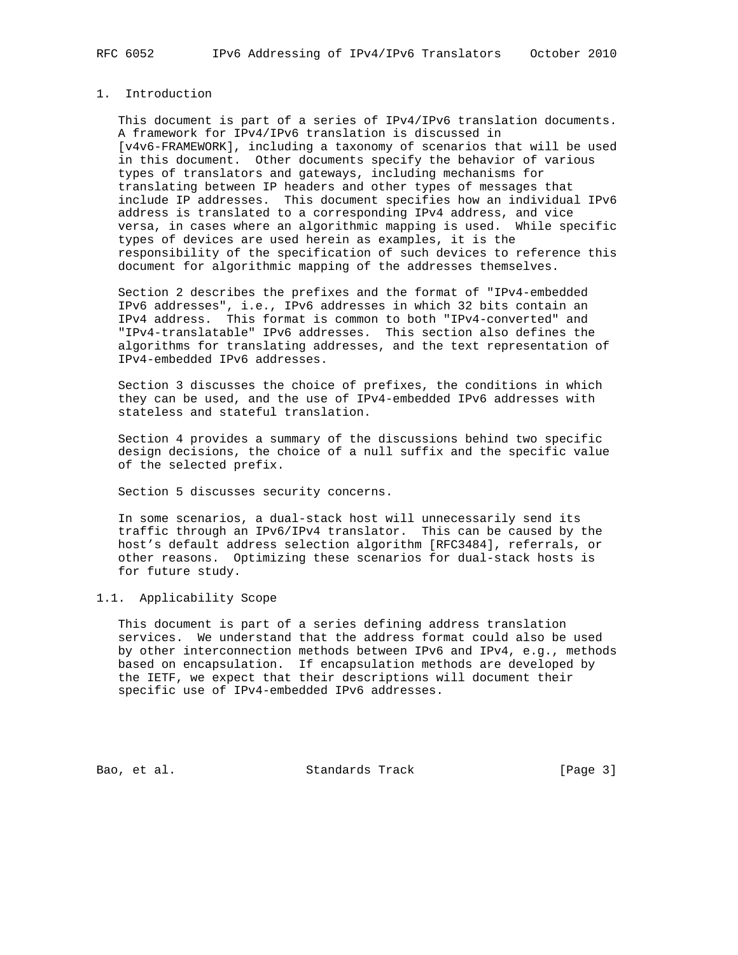# 1. Introduction

 This document is part of a series of IPv4/IPv6 translation documents. A framework for IPv4/IPv6 translation is discussed in [v4v6-FRAMEWORK], including a taxonomy of scenarios that will be used in this document. Other documents specify the behavior of various types of translators and gateways, including mechanisms for translating between IP headers and other types of messages that include IP addresses. This document specifies how an individual IPv6 address is translated to a corresponding IPv4 address, and vice versa, in cases where an algorithmic mapping is used. While specific types of devices are used herein as examples, it is the responsibility of the specification of such devices to reference this document for algorithmic mapping of the addresses themselves.

 Section 2 describes the prefixes and the format of "IPv4-embedded IPv6 addresses", i.e., IPv6 addresses in which 32 bits contain an IPv4 address. This format is common to both "IPv4-converted" and "IPv4-translatable" IPv6 addresses. This section also defines the algorithms for translating addresses, and the text representation of IPv4-embedded IPv6 addresses.

 Section 3 discusses the choice of prefixes, the conditions in which they can be used, and the use of IPv4-embedded IPv6 addresses with stateless and stateful translation.

 Section 4 provides a summary of the discussions behind two specific design decisions, the choice of a null suffix and the specific value of the selected prefix.

Section 5 discusses security concerns.

 In some scenarios, a dual-stack host will unnecessarily send its traffic through an IPv6/IPv4 translator. This can be caused by the host's default address selection algorithm [RFC3484], referrals, or other reasons. Optimizing these scenarios for dual-stack hosts is for future study.

# 1.1. Applicability Scope

 This document is part of a series defining address translation services. We understand that the address format could also be used by other interconnection methods between IPv6 and IPv4, e.g., methods based on encapsulation. If encapsulation methods are developed by the IETF, we expect that their descriptions will document their specific use of IPv4-embedded IPv6 addresses.

Bao, et al. Standards Track [Page 3]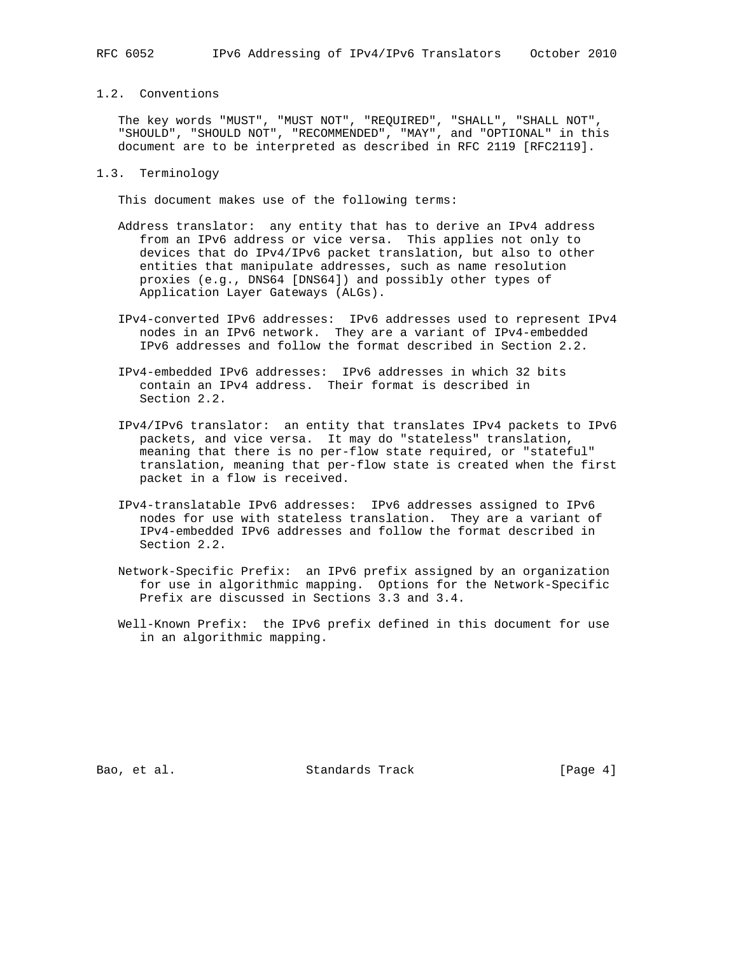# 1.2. Conventions

 The key words "MUST", "MUST NOT", "REQUIRED", "SHALL", "SHALL NOT", "SHOULD", "SHOULD NOT", "RECOMMENDED", "MAY", and "OPTIONAL" in this document are to be interpreted as described in RFC 2119 [RFC2119].

## 1.3. Terminology

This document makes use of the following terms:

- Address translator: any entity that has to derive an IPv4 address from an IPv6 address or vice versa. This applies not only to devices that do IPv4/IPv6 packet translation, but also to other entities that manipulate addresses, such as name resolution proxies (e.g., DNS64 [DNS64]) and possibly other types of Application Layer Gateways (ALGs).
- IPv4-converted IPv6 addresses: IPv6 addresses used to represent IPv4 nodes in an IPv6 network. They are a variant of IPv4-embedded IPv6 addresses and follow the format described in Section 2.2.
- IPv4-embedded IPv6 addresses: IPv6 addresses in which 32 bits contain an IPv4 address. Their format is described in Section 2.2.
- IPv4/IPv6 translator: an entity that translates IPv4 packets to IPv6 packets, and vice versa. It may do "stateless" translation, meaning that there is no per-flow state required, or "stateful" translation, meaning that per-flow state is created when the first packet in a flow is received.
- IPv4-translatable IPv6 addresses: IPv6 addresses assigned to IPv6 nodes for use with stateless translation. They are a variant of IPv4-embedded IPv6 addresses and follow the format described in Section 2.2.
- Network-Specific Prefix: an IPv6 prefix assigned by an organization for use in algorithmic mapping. Options for the Network-Specific Prefix are discussed in Sections 3.3 and 3.4.
- Well-Known Prefix: the IPv6 prefix defined in this document for use in an algorithmic mapping.

Bao, et al. Standards Track [Page 4]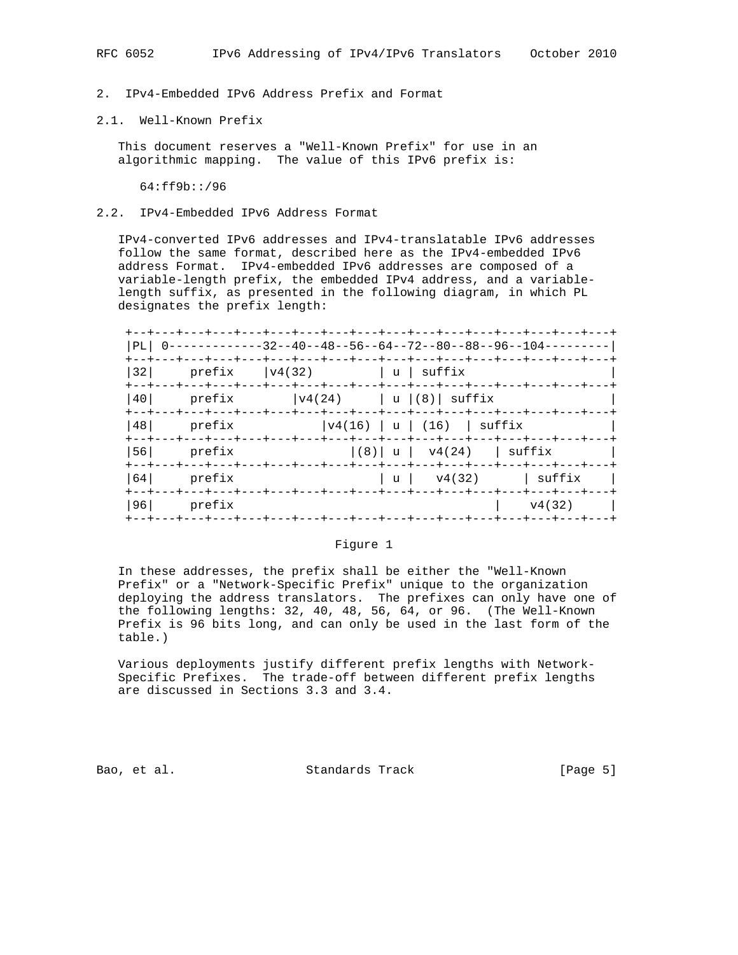#### 2.1. Well-Known Prefix

 This document reserves a "Well-Known Prefix" for use in an algorithmic mapping. The value of this IPv6 prefix is:

64:ff9b::/96

## 2.2. IPv4-Embedded IPv6 Address Format

 IPv4-converted IPv6 addresses and IPv4-translatable IPv6 addresses follow the same format, described here as the IPv4-embedded IPv6 address Format. IPv4-embedded IPv6 addresses are composed of a variable-length prefix, the embedded IPv4 address, and a variable length suffix, as presented in the following diagram, in which PL designates the prefix length:

| PL  | -----------32--40--48--56--64--72--80--88--96--104---------                     |                                           |  |  |                                                                         |  |                        |        |        |
|-----|---------------------------------------------------------------------------------|-------------------------------------------|--|--|-------------------------------------------------------------------------|--|------------------------|--------|--------|
| 32  | --+---+---+---+---+---+---+---+---+---+---+---+---+---+---+-<br>prefix          | $ v4(32)$ $ u $ suffix                    |  |  |                                                                         |  |                        |        |        |
| 40  | +--+---+---+---+---+---+---+---+---+---+---+---+---+---+---+---+---+-<br>prefix |                                           |  |  | $\vert \texttt{v4(24)} \vert$ $\vert \texttt{u} \vert (8) \vert$ suffix |  |                        |        |        |
| 481 | $- - + - - - + - - - +$<br>prefix                                               | -+---+---+---+---+---+---+---+---+---+--- |  |  | v4(16)   u   (16)   suffix                                              |  |                        |        |        |
| 561 | prefix                                                                          |                                           |  |  | --+---+---+---+---+---+---+---+---+---<br> (8)  u   v4(24)   suffix     |  |                        |        |        |
| 64  | prefix                                                                          |                                           |  |  | -+---+---+---+---+---+---+---+---+---+---<br>  u   v4(32)               |  |                        |        | suffix |
| 961 | prefix                                                                          |                                           |  |  | --+---+---+---+-                                                        |  | $-+ - - - + - - - + -$ | v4(32) |        |

#### Figure 1

 In these addresses, the prefix shall be either the "Well-Known Prefix" or a "Network-Specific Prefix" unique to the organization deploying the address translators. The prefixes can only have one of the following lengths: 32, 40, 48, 56, 64, or 96. (The Well-Known Prefix is 96 bits long, and can only be used in the last form of the table.)

 Various deployments justify different prefix lengths with Network- Specific Prefixes. The trade-off between different prefix lengths are discussed in Sections 3.3 and 3.4.

Bao, et al. Standards Track [Page 5]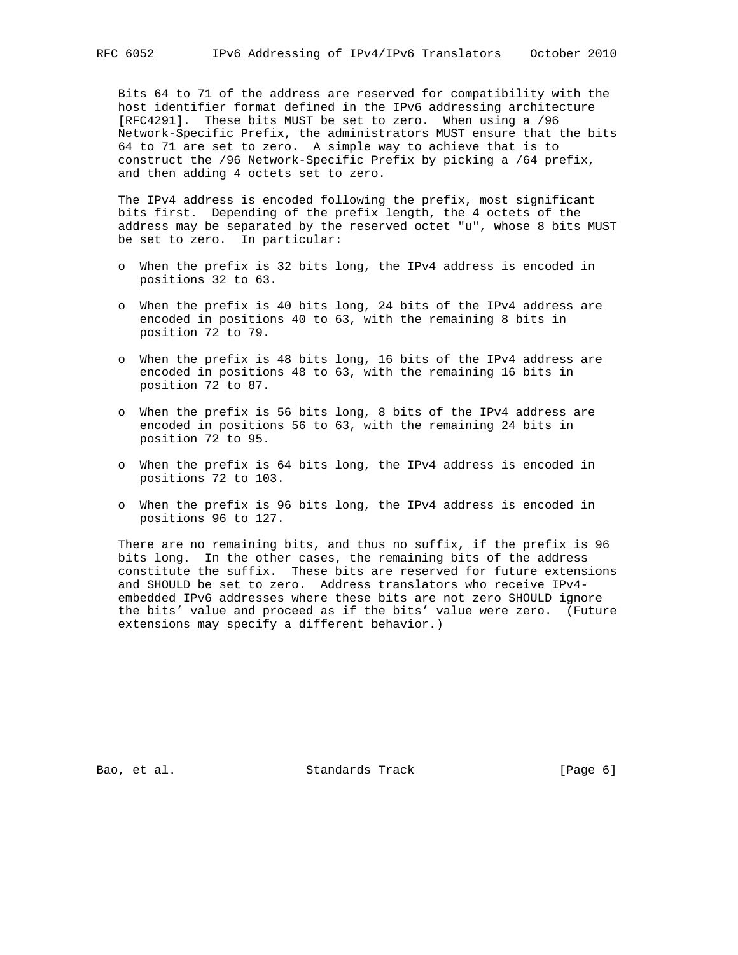Bits 64 to 71 of the address are reserved for compatibility with the host identifier format defined in the IPv6 addressing architecture [RFC4291]. These bits MUST be set to zero. When using a /96 Network-Specific Prefix, the administrators MUST ensure that the bits 64 to 71 are set to zero. A simple way to achieve that is to construct the /96 Network-Specific Prefix by picking a /64 prefix, and then adding 4 octets set to zero.

 The IPv4 address is encoded following the prefix, most significant bits first. Depending of the prefix length, the 4 octets of the address may be separated by the reserved octet "u", whose 8 bits MUST be set to zero. In particular:

- o When the prefix is 32 bits long, the IPv4 address is encoded in positions 32 to 63.
- o When the prefix is 40 bits long, 24 bits of the IPv4 address are encoded in positions 40 to 63, with the remaining 8 bits in position 72 to 79.
- o When the prefix is 48 bits long, 16 bits of the IPv4 address are encoded in positions 48 to 63, with the remaining 16 bits in position 72 to 87.
- o When the prefix is 56 bits long, 8 bits of the IPv4 address are encoded in positions 56 to 63, with the remaining 24 bits in position 72 to 95.
- o When the prefix is 64 bits long, the IPv4 address is encoded in positions 72 to 103.
- o When the prefix is 96 bits long, the IPv4 address is encoded in positions 96 to 127.

 There are no remaining bits, and thus no suffix, if the prefix is 96 bits long. In the other cases, the remaining bits of the address constitute the suffix. These bits are reserved for future extensions and SHOULD be set to zero. Address translators who receive IPv4 embedded IPv6 addresses where these bits are not zero SHOULD ignore the bits' value and proceed as if the bits' value were zero. (Future extensions may specify a different behavior.)

Bao, et al. Standards Track [Page 6]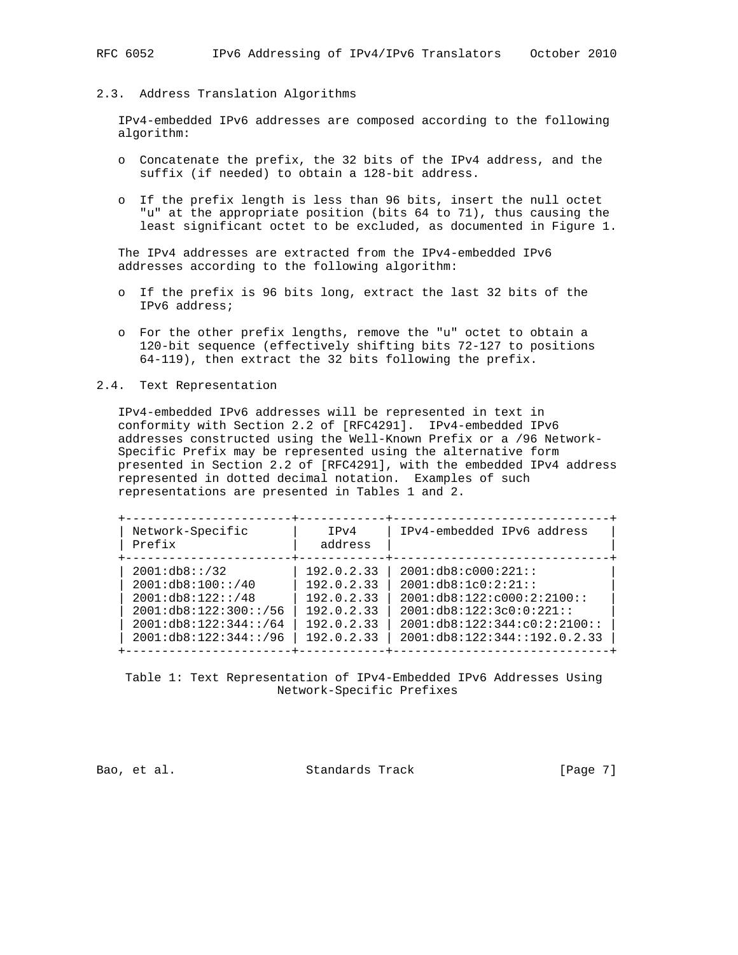#### 2.3. Address Translation Algorithms

 IPv4-embedded IPv6 addresses are composed according to the following algorithm:

- o Concatenate the prefix, the 32 bits of the IPv4 address, and the suffix (if needed) to obtain a 128-bit address.
- o If the prefix length is less than 96 bits, insert the null octet "u" at the appropriate position (bits 64 to 71), thus causing the least significant octet to be excluded, as documented in Figure 1.

 The IPv4 addresses are extracted from the IPv4-embedded IPv6 addresses according to the following algorithm:

- o If the prefix is 96 bits long, extract the last 32 bits of the IPv6 address;
- o For the other prefix lengths, remove the "u" octet to obtain a 120-bit sequence (effectively shifting bits 72-127 to positions 64-119), then extract the 32 bits following the prefix.

## 2.4. Text Representation

 IPv4-embedded IPv6 addresses will be represented in text in conformity with Section 2.2 of [RFC4291]. IPv4-embedded IPv6 addresses constructed using the Well-Known Prefix or a /96 Network- Specific Prefix may be represented using the alternative form presented in Section 2.2 of [RFC4291], with the embedded IPv4 address represented in dotted decimal notation. Examples of such representations are presented in Tables 1 and 2.

| Network-Specific<br>Prefix | TPv4<br>address | IPv4-embedded IPv6 address         |
|----------------------------|-----------------|------------------------------------|
| 2001:db8::/32              | 192.0.2.33      | 2001:db8:cb00:221:                 |
| 2001:db8:100::/40          | 192.0.2.33      | 2001:db8:1c0:2:21:                 |
| 2001:db8:122::/48          | 192.0.2.33      | 2001:db8:122:cb00:2:2100::         |
| 2001:db8:122:300::/56      | 192.0.2.33      | 2001:db8:122:3c0:0:221::           |
| 2001:db8:122:344::/64      | 192.0.2.33      | 2001: db8: 122: 344: c0: 2: 2100:: |
| 2001:db8:122:344::/96      | 192.0.2.33      | 2001: db8: 122: 344: : 192.0.2.33  |

 Table 1: Text Representation of IPv4-Embedded IPv6 Addresses Using Network-Specific Prefixes

Bao, et al. Standards Track [Page 7]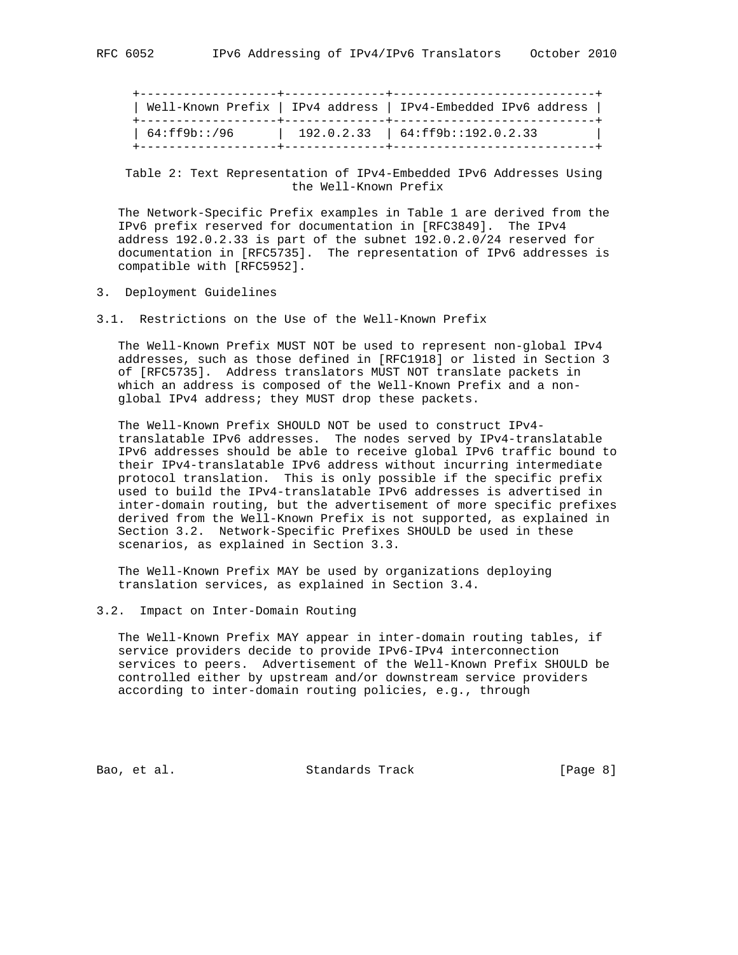+-------------------+--------------+----------------------------+ | Well-Known Prefix | IPv4 address | IPv4-Embedded IPv6 address | +-------------------+--------------+----------------------------+ | 64:ff9b::/96 | 192.0.2.33 | 64:ff9b::192.0.2.33 | +-------------------+--------------+----------------------------+

 Table 2: Text Representation of IPv4-Embedded IPv6 Addresses Using the Well-Known Prefix

 The Network-Specific Prefix examples in Table 1 are derived from the IPv6 prefix reserved for documentation in [RFC3849]. The IPv4 address 192.0.2.33 is part of the subnet 192.0.2.0/24 reserved for documentation in [RFC5735]. The representation of IPv6 addresses is compatible with [RFC5952].

- 3. Deployment Guidelines
- 3.1. Restrictions on the Use of the Well-Known Prefix

 The Well-Known Prefix MUST NOT be used to represent non-global IPv4 addresses, such as those defined in [RFC1918] or listed in Section 3 of [RFC5735]. Address translators MUST NOT translate packets in which an address is composed of the Well-Known Prefix and a non global IPv4 address; they MUST drop these packets.

 The Well-Known Prefix SHOULD NOT be used to construct IPv4 translatable IPv6 addresses. The nodes served by IPv4-translatable IPv6 addresses should be able to receive global IPv6 traffic bound to their IPv4-translatable IPv6 address without incurring intermediate protocol translation. This is only possible if the specific prefix used to build the IPv4-translatable IPv6 addresses is advertised in inter-domain routing, but the advertisement of more specific prefixes derived from the Well-Known Prefix is not supported, as explained in Section 3.2. Network-Specific Prefixes SHOULD be used in these scenarios, as explained in Section 3.3.

 The Well-Known Prefix MAY be used by organizations deploying translation services, as explained in Section 3.4.

## 3.2. Impact on Inter-Domain Routing

 The Well-Known Prefix MAY appear in inter-domain routing tables, if service providers decide to provide IPv6-IPv4 interconnection services to peers. Advertisement of the Well-Known Prefix SHOULD be controlled either by upstream and/or downstream service providers according to inter-domain routing policies, e.g., through

Bao, et al. Standards Track [Page 8]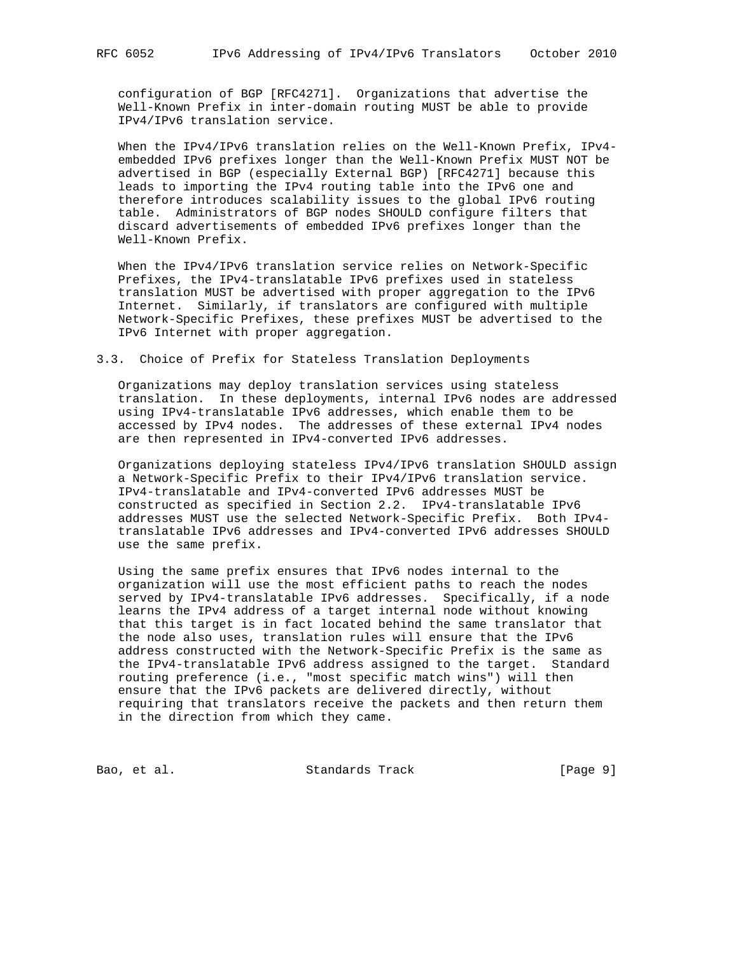configuration of BGP [RFC4271]. Organizations that advertise the Well-Known Prefix in inter-domain routing MUST be able to provide IPv4/IPv6 translation service.

 When the IPv4/IPv6 translation relies on the Well-Known Prefix, IPv4 embedded IPv6 prefixes longer than the Well-Known Prefix MUST NOT be advertised in BGP (especially External BGP) [RFC4271] because this leads to importing the IPv4 routing table into the IPv6 one and therefore introduces scalability issues to the global IPv6 routing table. Administrators of BGP nodes SHOULD configure filters that discard advertisements of embedded IPv6 prefixes longer than the Well-Known Prefix.

 When the IPv4/IPv6 translation service relies on Network-Specific Prefixes, the IPv4-translatable IPv6 prefixes used in stateless translation MUST be advertised with proper aggregation to the IPv6 Internet. Similarly, if translators are configured with multiple Network-Specific Prefixes, these prefixes MUST be advertised to the IPv6 Internet with proper aggregation.

## 3.3. Choice of Prefix for Stateless Translation Deployments

 Organizations may deploy translation services using stateless translation. In these deployments, internal IPv6 nodes are addressed using IPv4-translatable IPv6 addresses, which enable them to be accessed by IPv4 nodes. The addresses of these external IPv4 nodes are then represented in IPv4-converted IPv6 addresses.

 Organizations deploying stateless IPv4/IPv6 translation SHOULD assign a Network-Specific Prefix to their IPv4/IPv6 translation service. IPv4-translatable and IPv4-converted IPv6 addresses MUST be constructed as specified in Section 2.2. IPv4-translatable IPv6 addresses MUST use the selected Network-Specific Prefix. Both IPv4 translatable IPv6 addresses and IPv4-converted IPv6 addresses SHOULD use the same prefix.

 Using the same prefix ensures that IPv6 nodes internal to the organization will use the most efficient paths to reach the nodes served by IPv4-translatable IPv6 addresses. Specifically, if a node learns the IPv4 address of a target internal node without knowing that this target is in fact located behind the same translator that the node also uses, translation rules will ensure that the IPv6 address constructed with the Network-Specific Prefix is the same as the IPv4-translatable IPv6 address assigned to the target. Standard routing preference (i.e., "most specific match wins") will then ensure that the IPv6 packets are delivered directly, without requiring that translators receive the packets and then return them in the direction from which they came.

Bao, et al. Standards Track [Page 9]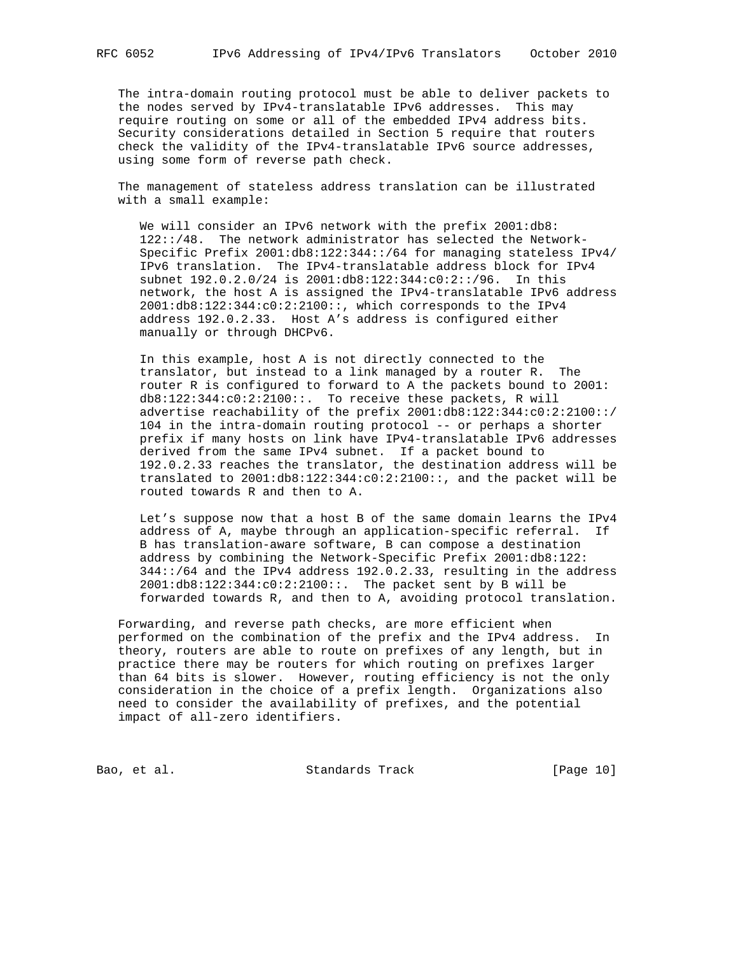The intra-domain routing protocol must be able to deliver packets to the nodes served by IPv4-translatable IPv6 addresses. This may require routing on some or all of the embedded IPv4 address bits. Security considerations detailed in Section 5 require that routers check the validity of the IPv4-translatable IPv6 source addresses, using some form of reverse path check.

 The management of stateless address translation can be illustrated with a small example:

We will consider an IPv6 network with the prefix 2001:db8: 122::/48. The network administrator has selected the Network- Specific Prefix 2001:db8:122:344::/64 for managing stateless IPv4/ IPv6 translation. The IPv4-translatable address block for IPv4 subnet 192.0.2.0/24 is 2001:db8:122:344:c0:2::/96. In this network, the host A is assigned the IPv4-translatable IPv6 address 2001:db8:122:344:c0:2:2100::, which corresponds to the IPv4 address 192.0.2.33. Host A's address is configured either manually or through DHCPv6.

 In this example, host A is not directly connected to the translator, but instead to a link managed by a router R. The router R is configured to forward to A the packets bound to 2001: db8:122:344:c0:2:2100::. To receive these packets, R will advertise reachability of the prefix 2001:db8:122:344:c0:2:2100::/ 104 in the intra-domain routing protocol -- or perhaps a shorter prefix if many hosts on link have IPv4-translatable IPv6 addresses derived from the same IPv4 subnet. If a packet bound to 192.0.2.33 reaches the translator, the destination address will be translated to 2001:db8:122:344:c0:2:2100::, and the packet will be routed towards R and then to A.

 Let's suppose now that a host B of the same domain learns the IPv4 address of A, maybe through an application-specific referral. If B has translation-aware software, B can compose a destination address by combining the Network-Specific Prefix 2001:db8:122: 344::/64 and the IPv4 address 192.0.2.33, resulting in the address 2001:db8:122:344:c0:2:2100::. The packet sent by B will be forwarded towards R, and then to A, avoiding protocol translation.

 Forwarding, and reverse path checks, are more efficient when performed on the combination of the prefix and the IPv4 address. In theory, routers are able to route on prefixes of any length, but in practice there may be routers for which routing on prefixes larger than 64 bits is slower. However, routing efficiency is not the only consideration in the choice of a prefix length. Organizations also need to consider the availability of prefixes, and the potential impact of all-zero identifiers.

Bao, et al. Standards Track [Page 10]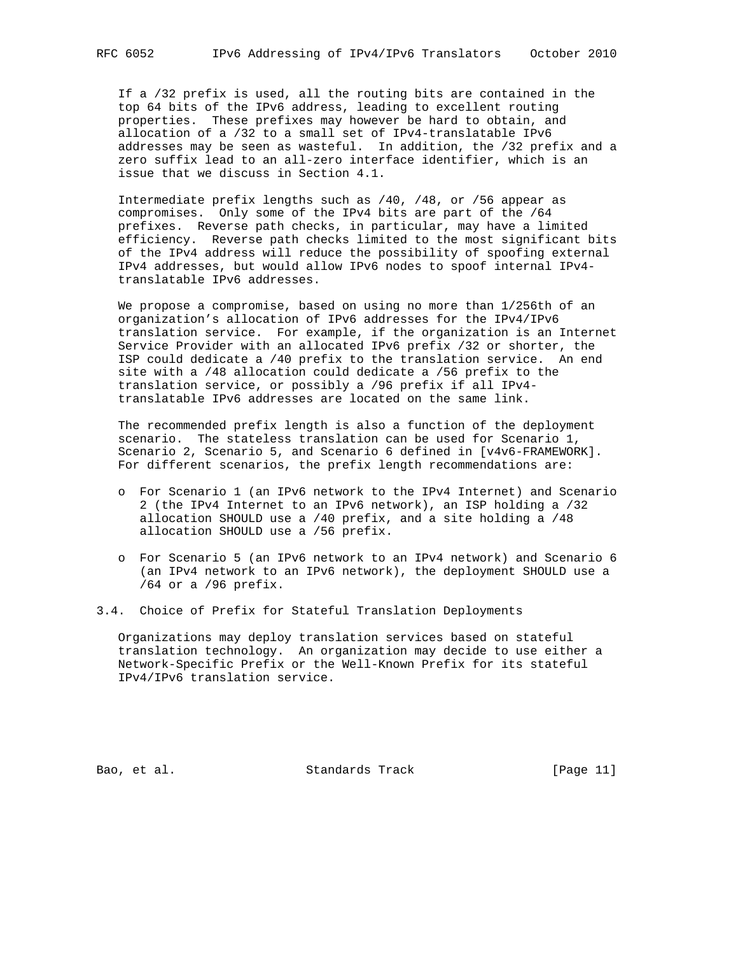If a /32 prefix is used, all the routing bits are contained in the top 64 bits of the IPv6 address, leading to excellent routing properties. These prefixes may however be hard to obtain, and allocation of a /32 to a small set of IPv4-translatable IPv6 addresses may be seen as wasteful. In addition, the /32 prefix and a zero suffix lead to an all-zero interface identifier, which is an issue that we discuss in Section 4.1.

 Intermediate prefix lengths such as /40, /48, or /56 appear as compromises. Only some of the IPv4 bits are part of the /64 prefixes. Reverse path checks, in particular, may have a limited efficiency. Reverse path checks limited to the most significant bits of the IPv4 address will reduce the possibility of spoofing external IPv4 addresses, but would allow IPv6 nodes to spoof internal IPv4 translatable IPv6 addresses.

 We propose a compromise, based on using no more than 1/256th of an organization's allocation of IPv6 addresses for the IPv4/IPv6 translation service. For example, if the organization is an Internet Service Provider with an allocated IPv6 prefix /32 or shorter, the ISP could dedicate a /40 prefix to the translation service. An end site with a /48 allocation could dedicate a /56 prefix to the translation service, or possibly a /96 prefix if all IPv4 translatable IPv6 addresses are located on the same link.

 The recommended prefix length is also a function of the deployment scenario. The stateless translation can be used for Scenario 1, Scenario 2, Scenario 5, and Scenario 6 defined in [v4v6-FRAMEWORK]. For different scenarios, the prefix length recommendations are:

- o For Scenario 1 (an IPv6 network to the IPv4 Internet) and Scenario 2 (the IPv4 Internet to an IPv6 network), an ISP holding a /32 allocation SHOULD use a /40 prefix, and a site holding a /48 allocation SHOULD use a /56 prefix.
- o For Scenario 5 (an IPv6 network to an IPv4 network) and Scenario 6 (an IPv4 network to an IPv6 network), the deployment SHOULD use a /64 or a /96 prefix.

3.4. Choice of Prefix for Stateful Translation Deployments

 Organizations may deploy translation services based on stateful translation technology. An organization may decide to use either a Network-Specific Prefix or the Well-Known Prefix for its stateful IPv4/IPv6 translation service.

Bao, et al. Standards Track [Page 11]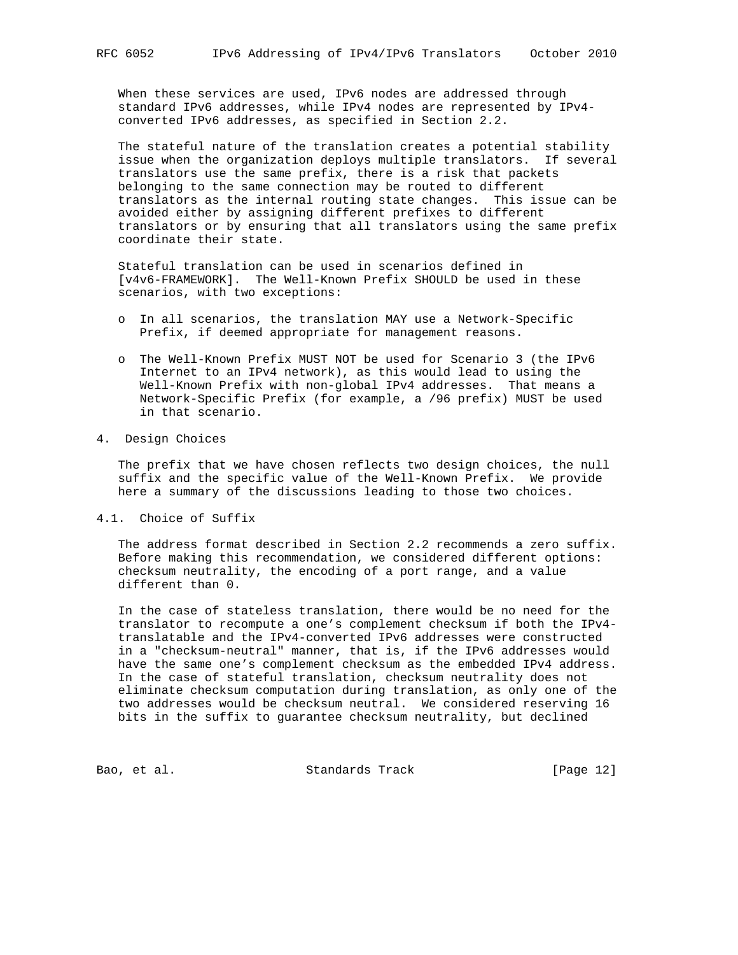When these services are used, IPv6 nodes are addressed through standard IPv6 addresses, while IPv4 nodes are represented by IPv4 converted IPv6 addresses, as specified in Section 2.2.

 The stateful nature of the translation creates a potential stability issue when the organization deploys multiple translators. If several translators use the same prefix, there is a risk that packets belonging to the same connection may be routed to different translators as the internal routing state changes. This issue can be avoided either by assigning different prefixes to different translators or by ensuring that all translators using the same prefix coordinate their state.

 Stateful translation can be used in scenarios defined in [v4v6-FRAMEWORK]. The Well-Known Prefix SHOULD be used in these scenarios, with two exceptions:

- o In all scenarios, the translation MAY use a Network-Specific Prefix, if deemed appropriate for management reasons.
- o The Well-Known Prefix MUST NOT be used for Scenario 3 (the IPv6 Internet to an IPv4 network), as this would lead to using the Well-Known Prefix with non-global IPv4 addresses. That means a Network-Specific Prefix (for example, a /96 prefix) MUST be used in that scenario.

#### 4. Design Choices

 The prefix that we have chosen reflects two design choices, the null suffix and the specific value of the Well-Known Prefix. We provide here a summary of the discussions leading to those two choices.

## 4.1. Choice of Suffix

 The address format described in Section 2.2 recommends a zero suffix. Before making this recommendation, we considered different options: checksum neutrality, the encoding of a port range, and a value different than 0.

 In the case of stateless translation, there would be no need for the translator to recompute a one's complement checksum if both the IPv4 translatable and the IPv4-converted IPv6 addresses were constructed in a "checksum-neutral" manner, that is, if the IPv6 addresses would have the same one's complement checksum as the embedded IPv4 address. In the case of stateful translation, checksum neutrality does not eliminate checksum computation during translation, as only one of the two addresses would be checksum neutral. We considered reserving 16 bits in the suffix to guarantee checksum neutrality, but declined

Bao, et al. Standards Track [Page 12]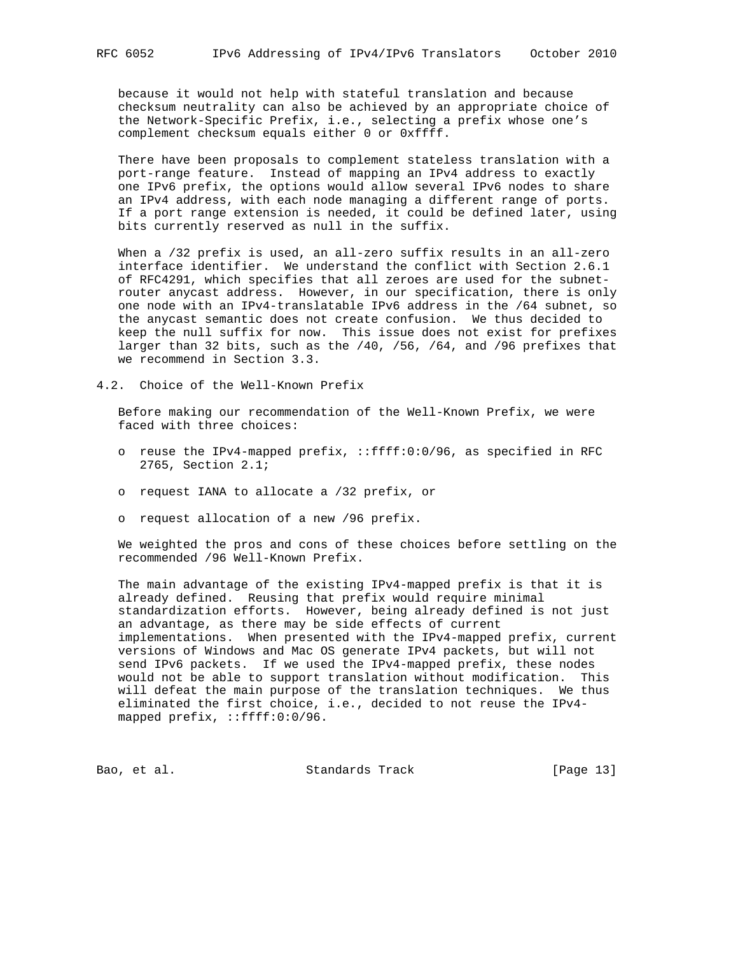because it would not help with stateful translation and because checksum neutrality can also be achieved by an appropriate choice of the Network-Specific Prefix, i.e., selecting a prefix whose one's complement checksum equals either 0 or 0xffff.

 There have been proposals to complement stateless translation with a port-range feature. Instead of mapping an IPv4 address to exactly one IPv6 prefix, the options would allow several IPv6 nodes to share an IPv4 address, with each node managing a different range of ports. If a port range extension is needed, it could be defined later, using bits currently reserved as null in the suffix.

When a /32 prefix is used, an all-zero suffix results in an all-zero interface identifier. We understand the conflict with Section 2.6.1 of RFC4291, which specifies that all zeroes are used for the subnet router anycast address. However, in our specification, there is only one node with an IPv4-translatable IPv6 address in the /64 subnet, so the anycast semantic does not create confusion. We thus decided to keep the null suffix for now. This issue does not exist for prefixes larger than 32 bits, such as the /40, /56, /64, and /96 prefixes that we recommend in Section 3.3.

4.2. Choice of the Well-Known Prefix

 Before making our recommendation of the Well-Known Prefix, we were faced with three choices:

- o reuse the IPv4-mapped prefix, ::ffff:0:0/96, as specified in RFC 2765, Section 2.1;
- o request IANA to allocate a /32 prefix, or
- o request allocation of a new /96 prefix.

 We weighted the pros and cons of these choices before settling on the recommended /96 Well-Known Prefix.

 The main advantage of the existing IPv4-mapped prefix is that it is already defined. Reusing that prefix would require minimal standardization efforts. However, being already defined is not just an advantage, as there may be side effects of current implementations. When presented with the IPv4-mapped prefix, current versions of Windows and Mac OS generate IPv4 packets, but will not send IPv6 packets. If we used the IPv4-mapped prefix, these nodes would not be able to support translation without modification. This will defeat the main purpose of the translation techniques. We thus eliminated the first choice, i.e., decided to not reuse the IPv4 mapped prefix, ::ffff:0:0/96.

Bao, et al. Standards Track [Page 13]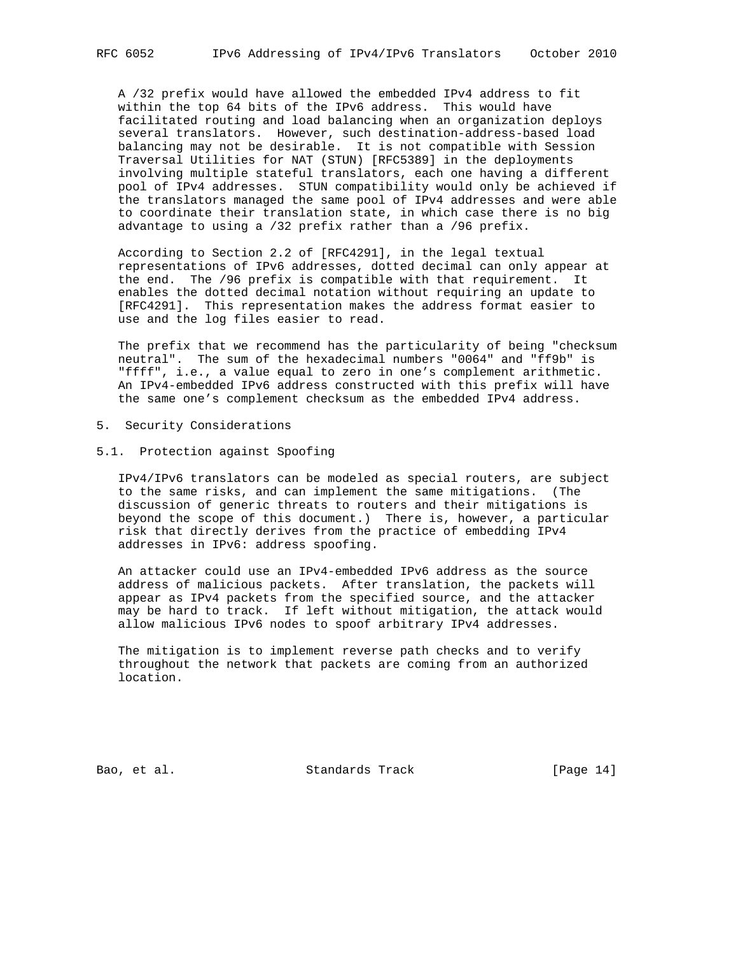A /32 prefix would have allowed the embedded IPv4 address to fit within the top 64 bits of the IPv6 address. This would have facilitated routing and load balancing when an organization deploys several translators. However, such destination-address-based load balancing may not be desirable. It is not compatible with Session Traversal Utilities for NAT (STUN) [RFC5389] in the deployments involving multiple stateful translators, each one having a different pool of IPv4 addresses. STUN compatibility would only be achieved if the translators managed the same pool of IPv4 addresses and were able to coordinate their translation state, in which case there is no big advantage to using a /32 prefix rather than a /96 prefix.

 According to Section 2.2 of [RFC4291], in the legal textual representations of IPv6 addresses, dotted decimal can only appear at the end. The /96 prefix is compatible with that requirement. It enables the dotted decimal notation without requiring an update to [RFC4291]. This representation makes the address format easier to use and the log files easier to read.

 The prefix that we recommend has the particularity of being "checksum neutral". The sum of the hexadecimal numbers "0064" and "ff9b" is "ffff", i.e., a value equal to zero in one's complement arithmetic. An IPv4-embedded IPv6 address constructed with this prefix will have the same one's complement checksum as the embedded IPv4 address.

5. Security Considerations

#### 5.1. Protection against Spoofing

 IPv4/IPv6 translators can be modeled as special routers, are subject to the same risks, and can implement the same mitigations. (The discussion of generic threats to routers and their mitigations is beyond the scope of this document.) There is, however, a particular risk that directly derives from the practice of embedding IPv4 addresses in IPv6: address spoofing.

 An attacker could use an IPv4-embedded IPv6 address as the source address of malicious packets. After translation, the packets will appear as IPv4 packets from the specified source, and the attacker may be hard to track. If left without mitigation, the attack would allow malicious IPv6 nodes to spoof arbitrary IPv4 addresses.

 The mitigation is to implement reverse path checks and to verify throughout the network that packets are coming from an authorized location.

Bao, et al. Standards Track [Page 14]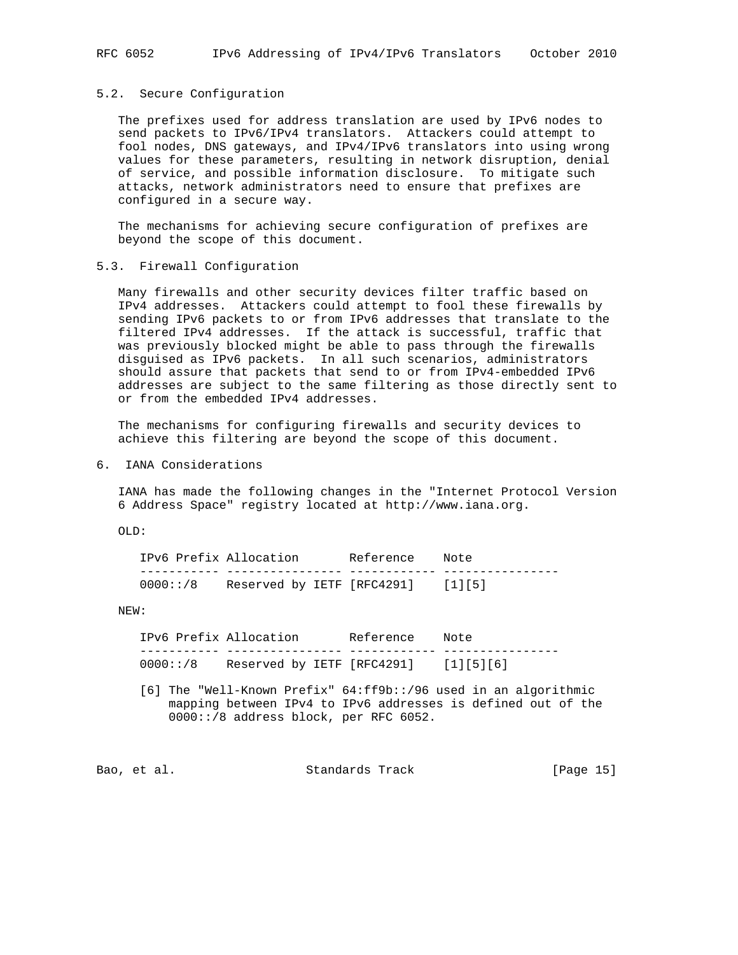## 5.2. Secure Configuration

 The prefixes used for address translation are used by IPv6 nodes to send packets to IPv6/IPv4 translators. Attackers could attempt to fool nodes, DNS gateways, and IPv4/IPv6 translators into using wrong values for these parameters, resulting in network disruption, denial of service, and possible information disclosure. To mitigate such attacks, network administrators need to ensure that prefixes are configured in a secure way.

 The mechanisms for achieving secure configuration of prefixes are beyond the scope of this document.

## 5.3. Firewall Configuration

 Many firewalls and other security devices filter traffic based on IPv4 addresses. Attackers could attempt to fool these firewalls by sending IPv6 packets to or from IPv6 addresses that translate to the filtered IPv4 addresses. If the attack is successful, traffic that was previously blocked might be able to pass through the firewalls disguised as IPv6 packets. In all such scenarios, administrators should assure that packets that send to or from IPv4-embedded IPv6 addresses are subject to the same filtering as those directly sent to or from the embedded IPv4 addresses.

 The mechanisms for configuring firewalls and security devices to achieve this filtering are beyond the scope of this document.

6. IANA Considerations

 IANA has made the following changes in the "Internet Protocol Version 6 Address Space" registry located at http://www.iana.org.

OLD:

| IPv6 Prefix Allocation |                            | Reference | Note  |
|------------------------|----------------------------|-----------|-------|
|                        |                            |           |       |
| 0000::/8               | Reserved by IETF [RFC4291] |           | $[1]$ |

#### NEW:

 IPv6 Prefix Allocation Reference Note ----------- ---------------- ------------ ---------------- 0000::/8 Reserved by IETF [RFC4291] [1][5][6]

 [6] The "Well-Known Prefix" 64:ff9b::/96 used in an algorithmic mapping between IPv4 to IPv6 addresses is defined out of the 0000::/8 address block, per RFC 6052.

Bao, et al. Standards Track [Page 15]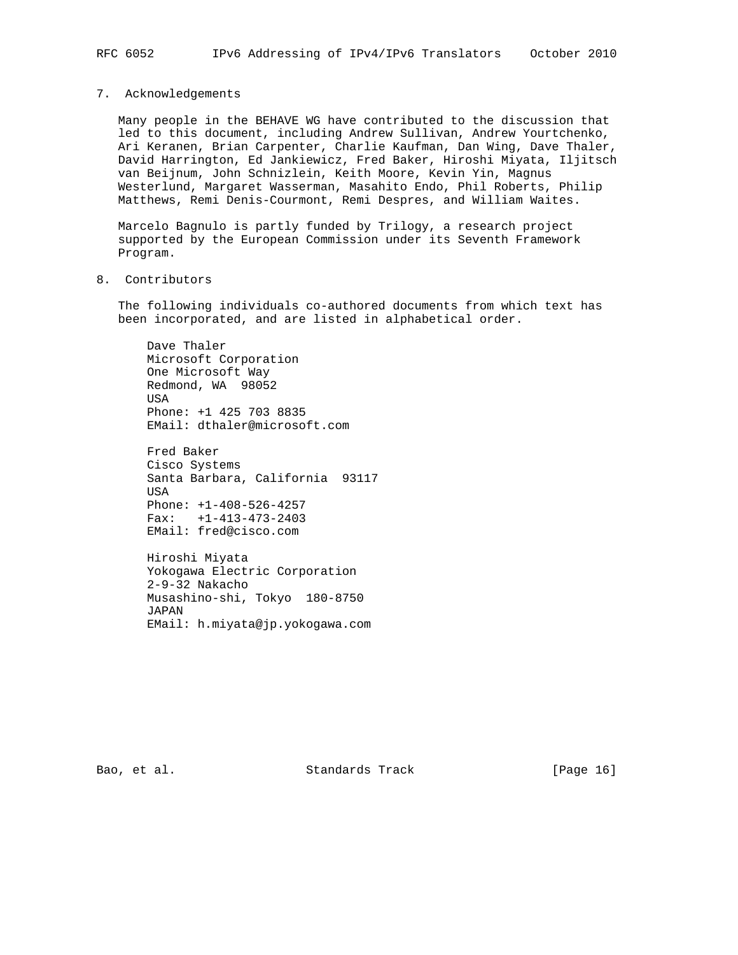#### 7. Acknowledgements

 Many people in the BEHAVE WG have contributed to the discussion that led to this document, including Andrew Sullivan, Andrew Yourtchenko, Ari Keranen, Brian Carpenter, Charlie Kaufman, Dan Wing, Dave Thaler, David Harrington, Ed Jankiewicz, Fred Baker, Hiroshi Miyata, Iljitsch van Beijnum, John Schnizlein, Keith Moore, Kevin Yin, Magnus Westerlund, Margaret Wasserman, Masahito Endo, Phil Roberts, Philip Matthews, Remi Denis-Courmont, Remi Despres, and William Waites.

 Marcelo Bagnulo is partly funded by Trilogy, a research project supported by the European Commission under its Seventh Framework Program.

# 8. Contributors

 The following individuals co-authored documents from which text has been incorporated, and are listed in alphabetical order.

 Dave Thaler Microsoft Corporation One Microsoft Way Redmond, WA 98052 USA Phone: +1 425 703 8835 EMail: dthaler@microsoft.com

 Fred Baker Cisco Systems Santa Barbara, California 93117 USA Phone: +1-408-526-4257 Fax: +1-413-473-2403 EMail: fred@cisco.com

 Hiroshi Miyata Yokogawa Electric Corporation 2-9-32 Nakacho Musashino-shi, Tokyo 180-8750 JAPAN EMail: h.miyata@jp.yokogawa.com

Bao, et al. Standards Track [Page 16]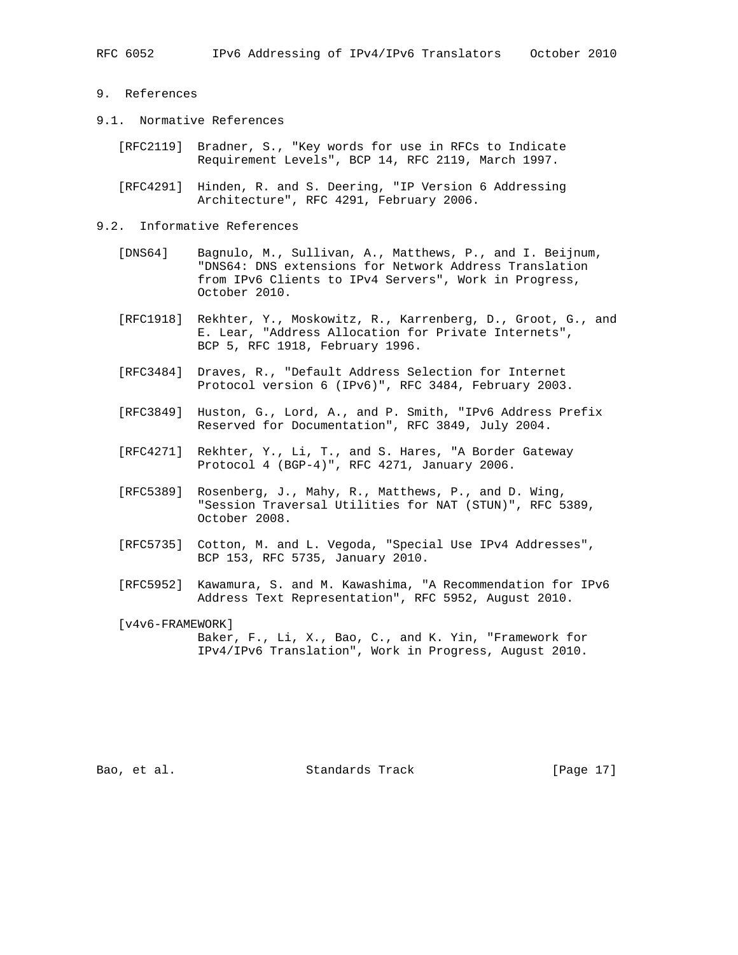## 9. References

- 9.1. Normative References
	- [RFC2119] Bradner, S., "Key words for use in RFCs to Indicate Requirement Levels", BCP 14, RFC 2119, March 1997.
	- [RFC4291] Hinden, R. and S. Deering, "IP Version 6 Addressing Architecture", RFC 4291, February 2006.

#### 9.2. Informative References

- [DNS64] Bagnulo, M., Sullivan, A., Matthews, P., and I. Beijnum, "DNS64: DNS extensions for Network Address Translation from IPv6 Clients to IPv4 Servers", Work in Progress, October 2010.
- [RFC1918] Rekhter, Y., Moskowitz, R., Karrenberg, D., Groot, G., and E. Lear, "Address Allocation for Private Internets", BCP 5, RFC 1918, February 1996.
- [RFC3484] Draves, R., "Default Address Selection for Internet Protocol version 6 (IPv6)", RFC 3484, February 2003.
- [RFC3849] Huston, G., Lord, A., and P. Smith, "IPv6 Address Prefix Reserved for Documentation", RFC 3849, July 2004.
- [RFC4271] Rekhter, Y., Li, T., and S. Hares, "A Border Gateway Protocol 4 (BGP-4)", RFC 4271, January 2006.
- [RFC5389] Rosenberg, J., Mahy, R., Matthews, P., and D. Wing, "Session Traversal Utilities for NAT (STUN)", RFC 5389, October 2008.
- [RFC5735] Cotton, M. and L. Vegoda, "Special Use IPv4 Addresses", BCP 153, RFC 5735, January 2010.
- [RFC5952] Kawamura, S. and M. Kawashima, "A Recommendation for IPv6 Address Text Representation", RFC 5952, August 2010.

 [v4v6-FRAMEWORK] Baker, F., Li, X., Bao, C., and K. Yin, "Framework for IPv4/IPv6 Translation", Work in Progress, August 2010.

Bao, et al. Standards Track [Page 17]